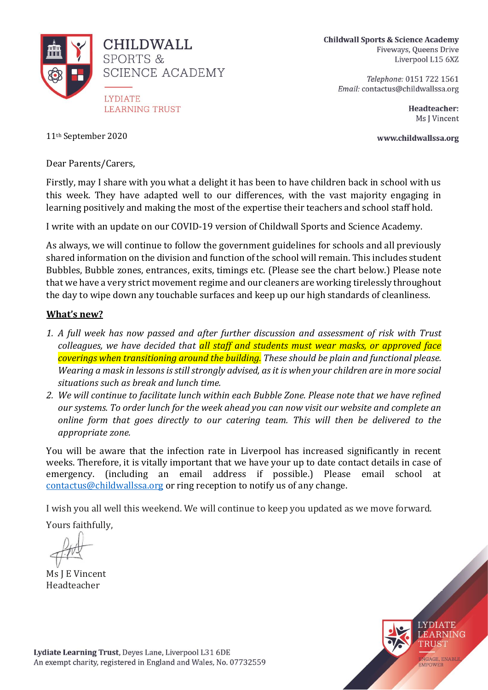

**Childwall Sports & Science Academy** Fiveways, Queens Drive Liverpool L15 6XZ

> Telephone: 0151 722 1561 Email: contactus@childwallssa.org

> > Headteacher: Ms J Vincent

www.childwallssa.org

11th September 2020

Dear Parents/Carers,

Firstly, may I share with you what a delight it has been to have children back in school with us this week. They have adapted well to our differences, with the vast majority engaging in learning positively and making the most of the expertise their teachers and school staff hold.

I write with an update on our COVID-19 version of Childwall Sports and Science Academy.

As always, we will continue to follow the government guidelines for schools and all previously shared information on the division and function of the school will remain. This includes student Bubbles, Bubble zones, entrances, exits, timings etc. (Please see the chart below.) Please note that we have a very strict movement regime and our cleaners are working tirelessly throughout the day to wipe down any touchable surfaces and keep up our high standards of cleanliness.

## **What's new?**

- *1. A full week has now passed and after further discussion and assessment of risk with Trust colleagues, we have decided that all staff and students must wear masks, or approved face coverings when transitioning around the building. These should be plain and functional please. Wearing a mask in lessons is still strongly advised, as it is when your children are in more social situations such as break and lunch time.*
- *2. We will continue to facilitate lunch within each Bubble Zone. Please note that we have refined our systems. To order lunch for the week ahead you can now visit our website and complete an online form that goes directly to our catering team. This will then be delivered to the appropriate zone.*

You will be aware that the infection rate in Liverpool has increased significantly in recent weeks. Therefore, it is vitally important that we have your up to date contact details in case of emergency. (including an email address if possible.) Please email school at [contactus@childwallssa.org](mailto:contactus@childwallssa.org) or ring reception to notify us of any change.

I wish you all well this weekend. We will continue to keep you updated as we move forward.

Yours faithfully,

Ms J E Vincent Headteacher